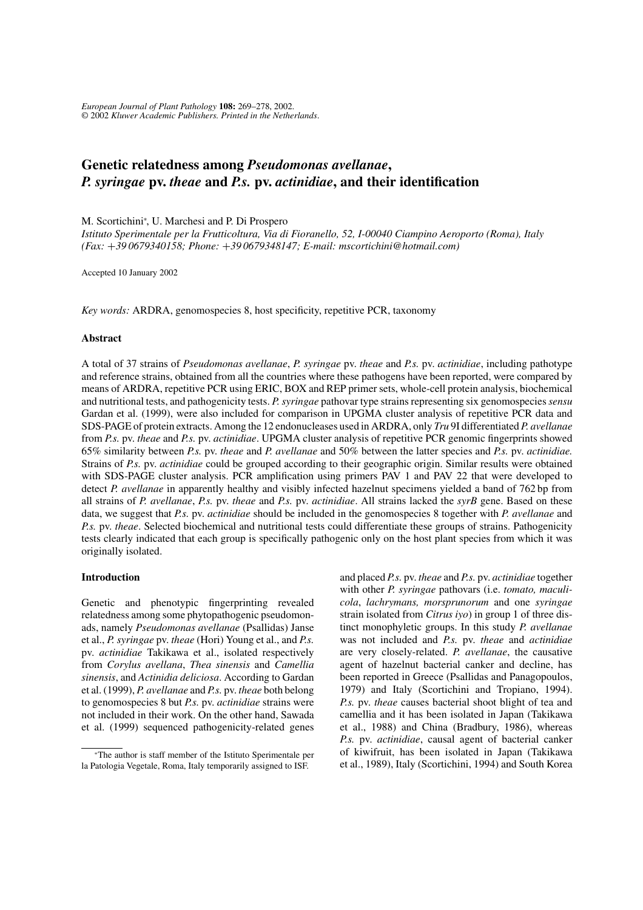*European Journal of Plant Pathology* **108:** 269–278, 2002. © 2002 *Kluwer Academic Publishers. Printed in the Netherlands*.

# **Genetic relatedness among** *Pseudomonas avellanae***,** *P. syringae* **pv.** *theae* **and** *P.s.* **pv.** *actinidiae***, and their identification**

M. Scortichini<sup>∗</sup> , U. Marchesi and P. Di Prospero

*Istituto Sperimentale per la Frutticoltura, Via di Fioranello, 52, I-00040 Ciampino Aeroporto (Roma), Italy (Fax:* +*39 0679340158; Phone:* +*39 0679348147; E-mail: mscortichini@hotmail.com)*

Accepted 10 January 2002

*Key words:* ARDRA, genomospecies 8, host specificity, repetitive PCR, taxonomy

### **Abstract**

A total of 37 strains of *Pseudomonas avellanae*, *P. syringae* pv. *theae* and *P.s.* pv. *actinidiae*, including pathotype and reference strains, obtained from all the countries where these pathogens have been reported, were compared by means of ARDRA, repetitive PCR using ERIC, BOX and REP primer sets, whole-cell protein analysis, biochemical and nutritional tests, and pathogenicity tests. *P. syringae* pathovar type strains representing six genomospecies*sensu* Gardan et al. (1999), were also included for comparison in UPGMA cluster analysis of repetitive PCR data and SDS-PAGE of protein extracts. Among the 12 endonucleases used in ARDRA, only *Tru* 9I differentiated *P. avellanae* from *P.s.* pv. *theae* and *P.s.* pv. *actinidiae*. UPGMA cluster analysis of repetitive PCR genomic fingerprints showed 65% similarity between *P.s.* pv. *theae* and *P. avellanae* and 50% between the latter species and *P.s.* pv. *actinidiae.* Strains of *P.s.* pv. *actinidiae* could be grouped according to their geographic origin. Similar results were obtained with SDS-PAGE cluster analysis. PCR amplification using primers PAV 1 and PAV 22 that were developed to detect *P. avellanae* in apparently healthy and visibly infected hazelnut specimens yielded a band of 762 bp from all strains of *P. avellanae*, *P.s.* pv. *theae* and *P.s.* pv. *actinidiae*. All strains lacked the *syrB* gene. Based on these data, we suggest that *P.s.* pv. *actinidiae* should be included in the genomospecies 8 together with *P. avellanae* and *P.s.* pv. *theae*. Selected biochemical and nutritional tests could differentiate these groups of strains. Pathogenicity tests clearly indicated that each group is specifically pathogenic only on the host plant species from which it was originally isolated.

# **Introduction**

Genetic and phenotypic fingerprinting revealed relatedness among some phytopathogenic pseudomonads, namely *Pseudomonas avellanae* (Psallidas) Janse et al., *P. syringae* pv. *theae* (Hori) Young et al., and *P.s.* pv. *actinidiae* Takikawa et al., isolated respectively from *Corylus avellana*, *Thea sinensis* and *Camellia sinensis*, and *Actinidia deliciosa*. According to Gardan et al. (1999), *P. avellanae* and *P.s.* pv. *theae* both belong to genomospecies 8 but *P.s.* pv. *actinidiae* strains were not included in their work. On the other hand, Sawada et al. (1999) sequenced pathogenicity-related genes and placed *P.s.* pv. *theae* and *P.s.* pv. *actinidiae* together with other *P. syringae* pathovars (i.e. *tomato, maculicola*, *lachrymans, morsprunorum* and one *syringae* strain isolated from *Citrus iyo*) in group 1 of three distinct monophyletic groups. In this study *P. avellanae* was not included and *P.s.* pv. *theae* and *actinidiae* are very closely-related. *P. avellanae*, the causative agent of hazelnut bacterial canker and decline, has been reported in Greece (Psallidas and Panagopoulos, 1979) and Italy (Scortichini and Tropiano, 1994). *P.s.* pv. *theae* causes bacterial shoot blight of tea and camellia and it has been isolated in Japan (Takikawa et al., 1988) and China (Bradbury, 1986), whereas *P.s.* pv. *actinidiae*, causal agent of bacterial canker of kiwifruit, has been isolated in Japan (Takikawa et al., 1989), Italy (Scortichini, 1994) and South Korea

<sup>∗</sup>The author is staff member of the Istituto Sperimentale per la Patologia Vegetale, Roma, Italy temporarily assigned to ISF.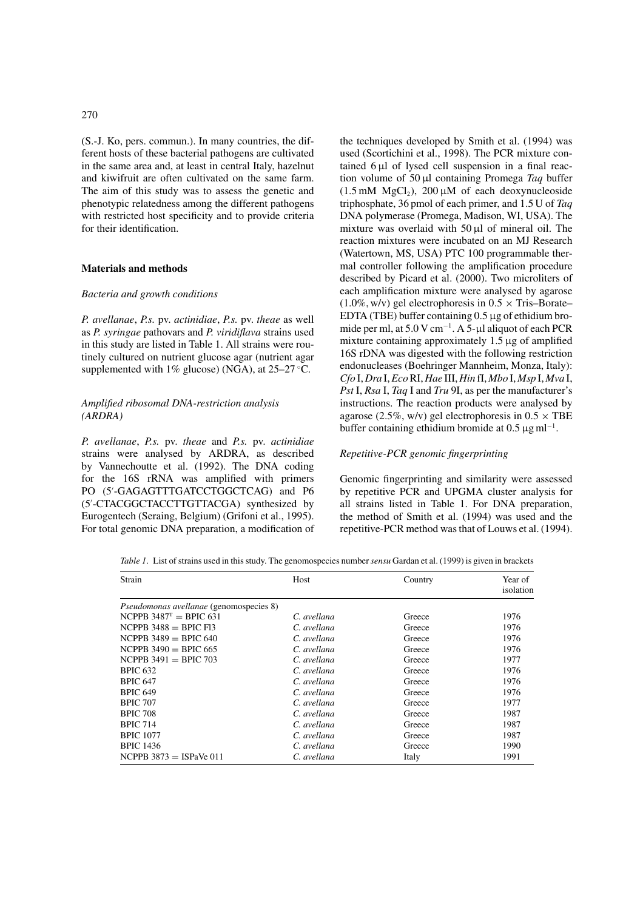# 270

(S.-J. Ko, pers. commun.). In many countries, the different hosts of these bacterial pathogens are cultivated in the same area and, at least in central Italy, hazelnut and kiwifruit are often cultivated on the same farm. The aim of this study was to assess the genetic and phenotypic relatedness among the different pathogens with restricted host specificity and to provide criteria for their identification.

### **Materials and methods**

#### *Bacteria and growth conditions*

*P. avellanae*, *P.s.* pv. *actinidiae*, *P.s.* pv. *theae* as well as *P. syringae* pathovars and *P. viridiflava* strains used in this study are listed in Table 1. All strains were routinely cultured on nutrient glucose agar (nutrient agar supplemented with  $1\%$  glucose) (NGA), at  $25-27$  °C.

# *Amplified ribosomal DNA-restriction analysis (ARDRA)*

*P. avellanae*, *P.s.* pv. *theae* and *P.s.* pv. *actinidiae* strains were analysed by ARDRA, as described by Vannechoutte et al. (1992). The DNA coding for the 16S rRNA was amplified with primers PO (5 -GAGAGTTTGATCCTGGCTCAG) and P6 (5 -CTACGGCTACCTTGTTACGA) synthesized by Eurogentech (Seraing, Belgium) (Grifoni et al., 1995). For total genomic DNA preparation, a modification of the techniques developed by Smith et al. (1994) was used (Scortichini et al., 1998). The PCR mixture contained  $6 \mu l$  of lysed cell suspension in a final reaction volume of 50 µl containing Promega *Taq* buffer  $(1.5 \text{ mM } MgCl<sub>2</sub>)$ ,  $200 \mu M$  of each deoxynucleoside triphosphate, 36 pmol of each primer, and 1.5 U of *Taq* DNA polymerase (Promega, Madison, WI, USA). The mixture was overlaid with 50 µl of mineral oil. The reaction mixtures were incubated on an MJ Research (Watertown, MS, USA) PTC 100 programmable thermal controller following the amplification procedure described by Picard et al. (2000). Two microliters of each amplification mixture were analysed by agarose  $(1.0\%, w/v)$  gel electrophoresis in  $0.5 \times$  Tris–Borate– EDTA (TBE) buffer containing 0.5 µg of ethidium bromide per ml, at 5.0 V cm<sup>-1</sup>. A 5-µl aliquot of each PCR mixture containing approximately  $1.5 \mu$ g of amplified 16S rDNA was digested with the following restriction endonucleases (Boehringer Mannheim, Monza, Italy): *Cfo* I, *Dra* I,*Eco*RI, *Hae* III, *Hin* fI, *Mbo* I, *Msp* I, *Mva* I, *Pst* I, *Rsa* I, *Taq* I and *Tru* 9I, as per the manufacturer's instructions. The reaction products were analysed by agarose (2.5%, w/v) gel electrophoresis in  $0.5 \times$  TBE buffer containing ethidium bromide at  $0.5 \,\mathrm{\mu g\,ml^{-1}}$ .

### *Repetitive-PCR genomic fingerprinting*

Genomic fingerprinting and similarity were assessed by repetitive PCR and UPGMA cluster analysis for all strains listed in Table 1. For DNA preparation, the method of Smith et al. (1994) was used and the repetitive-PCR method was that of Louws et al. (1994).

| Strain                                         | Host        | Country | Year of<br>isolation |  |  |
|------------------------------------------------|-------------|---------|----------------------|--|--|
| <i>Pseudomonas avellanae</i> (genomospecies 8) |             |         |                      |  |  |
| NCPPB $3487^T = BPLC$ 631                      | C. avellana | Greece  | 1976                 |  |  |
| $NCPPB$ 3488 = BPIC F13                        | C. avellana | Greece  | 1976                 |  |  |
| NCPPB $3489 = BPIC 640$                        | C. avellana | Greece  | 1976                 |  |  |
| NCPPB $3490 = BPIC 665$                        | C. avellana | Greece  | 1976                 |  |  |
| $NCPPB$ 3491 = BPIC 703                        | C. avellana | Greece  | 1977                 |  |  |
| <b>BPIC 632</b>                                | C. avellana | Greece  | 1976                 |  |  |
| <b>BPIC 647</b>                                | C. avellana | Greece  | 1976                 |  |  |
| <b>BPIC 649</b>                                | C. avellana | Greece  | 1976                 |  |  |
| <b>BPIC 707</b>                                | C. avellana | Greece  | 1977                 |  |  |
| <b>BPIC 708</b>                                | C. avellana | Greece  | 1987                 |  |  |
| <b>BPIC 714</b>                                | C. avellana | Greece  | 1987                 |  |  |
| <b>BPIC 1077</b>                               | C. avellana | Greece  | 1987                 |  |  |
| <b>BPIC 1436</b>                               | C. avellana | Greece  | 1990                 |  |  |
| NCPPB $3873 =$ ISPaVe 011                      | C. avellana | Italy   | 1991                 |  |  |

*Table 1*. List of strains used in this study. The genomospecies number*sensu* Gardan et al. (1999) is given in brackets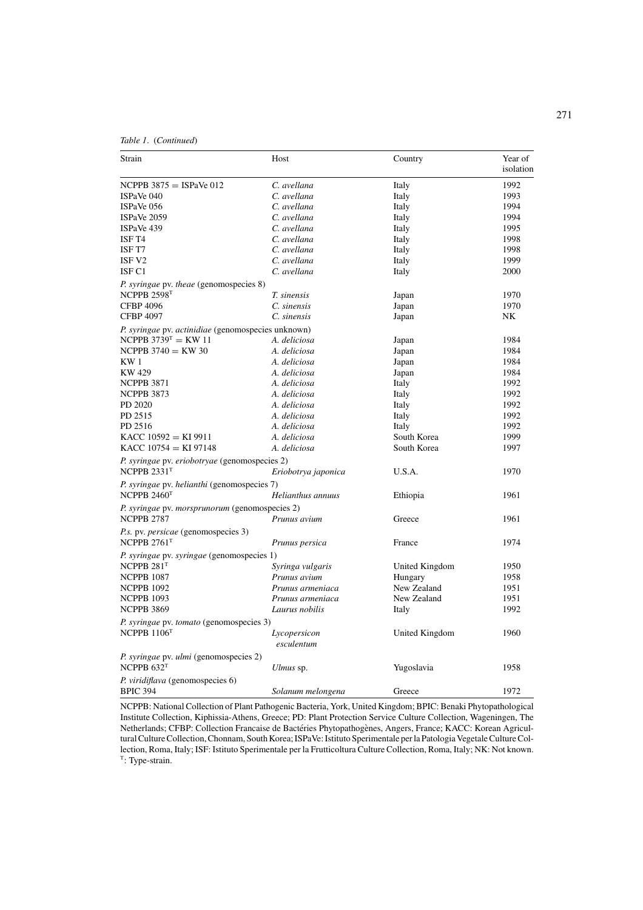*Table 1*. (*Continued*)

| Strain                                                                     | Host                | Country        | Year of<br>isolation |
|----------------------------------------------------------------------------|---------------------|----------------|----------------------|
| $NCPPB$ 3875 = ISPaVe 012                                                  | C. avellana         | Italy          | 1992                 |
| ISPaVe 040                                                                 | C. avellana         | Italy          | 1993                 |
| ISPaVe 056                                                                 | C. avellana         | Italy          | 1994                 |
| ISPaVe 2059                                                                | C. avellana         | Italy          | 1994                 |
| ISPaVe 439                                                                 | C. avellana         | Italy          | 1995                 |
| ISF T4                                                                     | C. avellana         | Italy          | 1998                 |
| ISF T7                                                                     | C. avellana         | Italy          | 1998                 |
| ISF <sub>V2</sub>                                                          | C. avellana         | Italy          | 1999                 |
| ISF <sub>C1</sub>                                                          | C. avellana         | Italy          | 2000                 |
| <i>P. syringae</i> pv. <i>theae</i> (genomospecies 8)                      |                     |                |                      |
| NCPPB 2598T                                                                | T. sinensis         | Japan          | 1970                 |
| <b>CFBP 4096</b>                                                           | C. sinensis         | Japan          | 1970                 |
| <b>CFBP 4097</b>                                                           | C. sinensis         | Japan          | NK                   |
| P. syringae pv. actinidiae (genomospecies unknown)                         |                     |                |                      |
| NCPPB $3739^{T}$ = KW 11                                                   | A. deliciosa        | Japan          | 1984                 |
| NCPPB $3740 = KW 30$                                                       | A. deliciosa        | Japan          | 1984                 |
| KW <sub>1</sub>                                                            | A. deliciosa        | Japan          | 1984                 |
| KW 429                                                                     | A. deliciosa        | Japan          | 1984                 |
| <b>NCPPB 3871</b>                                                          | A. deliciosa        | Italy          | 1992                 |
| <b>NCPPB 3873</b>                                                          | A. deliciosa        | Italy          | 1992                 |
| PD 2020                                                                    | A. deliciosa        | Italy          | 1992                 |
| PD 2515                                                                    | A. deliciosa        | Italy          | 1992                 |
| PD 2516                                                                    | A. deliciosa        | Italy          | 1992                 |
| KACC $10592 = KI 9911$                                                     | A. deliciosa        | South Korea    | 1999                 |
| KACC $10754 = KI 97148$                                                    | A. deliciosa        | South Korea    | 1997                 |
|                                                                            |                     |                |                      |
| P. syringae pv. eriobotryae (genomospecies 2)<br>NCPPB $2331$ <sup>T</sup> | Eriobotrya japonica | U.S.A.         | 1970                 |
|                                                                            |                     |                |                      |
| P. syringae pv. helianthi (genomospecies 7)<br>NCPPB $2460T$               | Helianthus annuus   | Ethiopia       | 1961                 |
|                                                                            |                     |                |                      |
| P. syringae pv. morsprunorum (genomospecies 2)                             |                     |                |                      |
| <b>NCPPB 2787</b>                                                          | Prunus avium        | Greece         | 1961                 |
| <i>P.s.</i> pv. <i>persicae</i> (genomospecies 3)                          |                     |                |                      |
| NCPPB $2761$ <sup>T</sup>                                                  | Prunus persica      | France         | 1974                 |
| P. syringae pv. syringae (genomospecies 1)                                 |                     |                |                      |
| NCPPB $281T$                                                               | Syringa vulgaris    | United Kingdom | 1950                 |
| <b>NCPPB 1087</b>                                                          | Prunus avium        | Hungary        | 1958                 |
| <b>NCPPB 1092</b>                                                          | Prunus armeniaca    | New Zealand    | 1951                 |
| <b>NCPPB 1093</b>                                                          | Prunus armeniaca    | New Zealand    | 1951                 |
| <b>NCPPB 3869</b>                                                          | Laurus nobilis      | Italy          | 1992                 |
| P. syringae pv. tomato (genomospecies 3)                                   |                     |                |                      |
| NCPPB $1106T$                                                              | Lycopersicon        | United Kingdom | 1960                 |
|                                                                            | esculentum          |                |                      |
|                                                                            |                     |                |                      |
| P. syringae pv. ulmi (genomospecies 2)                                     |                     |                |                      |
| NCPPB $632T$                                                               | Ulmus sp.           | Yugoslavia     | 1958                 |
| P. viridiflava (genomospecies 6)                                           |                     |                |                      |
| <b>BPIC 394</b>                                                            | Solanum melongena   | Greece         | 1972                 |

NCPPB: National Collection of Plant Pathogenic Bacteria, York, United Kingdom; BPIC: Benaki Phytopathological Institute Collection, Kiphissia-Athens, Greece; PD: Plant Protection Service Culture Collection, Wageningen, The Netherlands; CFBP: Collection Francaise de Bactéries Phytopathogènes, Angers, France; KACC: Korean Agricultural Culture Collection, Chonnam, South Korea; ISPaVe: Istituto Sperimentale per la Patologia Vegetale Culture Collection, Roma, Italy; ISF: Istituto Sperimentale per la Frutticoltura Culture Collection, Roma, Italy; NK: Not known. <sup>T</sup>: Type-strain.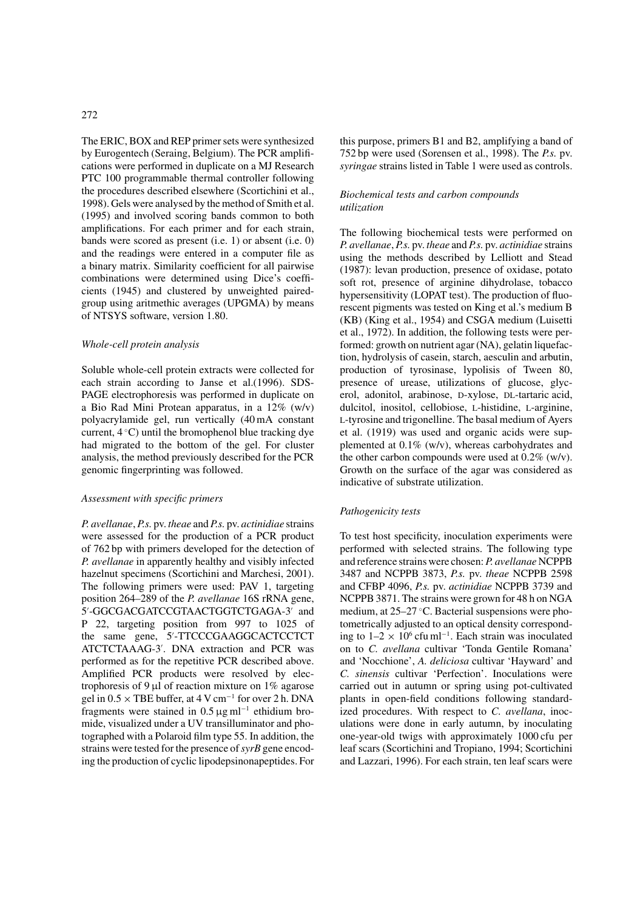The ERIC, BOX and REP primer sets were synthesized by Eurogentech (Seraing, Belgium). The PCR amplifications were performed in duplicate on a MJ Research PTC 100 programmable thermal controller following the procedures described elsewhere (Scortichini et al., 1998). Gels were analysed by the method of Smith et al. (1995) and involved scoring bands common to both amplifications. For each primer and for each strain, bands were scored as present (i.e. 1) or absent (i.e. 0) and the readings were entered in a computer file as a binary matrix. Similarity coefficient for all pairwise combinations were determined using Dice's coefficients (1945) and clustered by unweighted pairedgroup using aritmethic averages (UPGMA) by means of NTSYS software, version 1.80.

## *Whole-cell protein analysis*

Soluble whole-cell protein extracts were collected for each strain according to Janse et al.(1996). SDS-PAGE electrophoresis was performed in duplicate on a Bio Rad Mini Protean apparatus, in a 12% (w/v) polyacrylamide gel, run vertically (40 mA constant current, 4 ◦ C) until the bromophenol blue tracking dye had migrated to the bottom of the gel. For cluster analysis, the method previously described for the PCR genomic fingerprinting was followed.

### *Assessment with specific primers*

*P. avellanae*, *P.s.* pv. *theae* and *P.s.* pv. *actinidiae* strains were assessed for the production of a PCR product of 762 bp with primers developed for the detection of *P. avellanae* in apparently healthy and visibly infected hazelnut specimens (Scortichini and Marchesi, 2001). The following primers were used: PAV 1, targeting position 264–289 of the *P. avellanae* 16S rRNA gene, 5'-GGCGACGATCCGTAACTGGTCTGAGA-3' and P 22, targeting position from 997 to 1025 of the same gene, 5 -TTCCCGAAGGCACTCCTCT ATCTCTAAAG-3 . DNA extraction and PCR was performed as for the repetitive PCR described above. Amplified PCR products were resolved by electrophoresis of 9  $\mu$ l of reaction mixture on 1% agarose gel in  $0.5 \times$  TBE buffer, at 4 V cm<sup>-1</sup> for over 2 h. DNA fragments were stained in  $0.5 \,\mathrm{\mu g\,ml^{-1}}$  ethidium bromide, visualized under a UV transilluminator and photographed with a Polaroid film type 55. In addition, the strains were tested for the presence of*syrB* gene encoding the production of cyclic lipodepsinonapeptides. For this purpose, primers B1 and B2, amplifying a band of 752 bp were used (Sorensen et al., 1998). The *P.s.* pv. *syringae* strains listed in Table 1 were used as controls.

# *Biochemical tests and carbon compounds utilization*

The following biochemical tests were performed on *P. avellanae*, *P.s.* pv. *theae* and *P.s.* pv. *actinidiae* strains using the methods described by Lelliott and Stead (1987): levan production, presence of oxidase, potato soft rot, presence of arginine dihydrolase, tobacco hypersensitivity (LOPAT test). The production of fluorescent pigments was tested on King et al.'s medium B (KB) (King et al., 1954) and CSGA medium (Luisetti et al., 1972). In addition, the following tests were performed: growth on nutrient agar (NA), gelatin liquefaction, hydrolysis of casein, starch, aesculin and arbutin, production of tyrosinase, lypolisis of Tween 80, presence of urease, utilizations of glucose, glycerol, adonitol, arabinose, D-xylose, DL-tartaric acid, dulcitol, inositol, cellobiose, L-histidine, L-arginine, l-tyrosine and trigonelline. The basal medium of Ayers et al. (1919) was used and organic acids were supplemented at 0.1% (w/v), whereas carbohydrates and the other carbon compounds were used at  $0.2\%$  (w/v). Growth on the surface of the agar was considered as indicative of substrate utilization.

# *Pathogenicity tests*

To test host specificity, inoculation experiments were performed with selected strains. The following type and reference strains were chosen:*P. avellanae* NCPPB 3487 and NCPPB 3873, *P.s.* pv. *theae* NCPPB 2598 and CFBP 4096, *P.s.* pv. *actinidiae* NCPPB 3739 and NCPPB 3871. The strains were grown for 48 h on NGA medium, at 25–27 °C. Bacterial suspensions were photometrically adjusted to an optical density corresponding to  $1-2 \times 10^6$  cfu ml<sup>-1</sup>. Each strain was inoculated on to *C. avellana* cultivar 'Tonda Gentile Romana' and 'Nocchione', *A. deliciosa* cultivar 'Hayward' and *C. sinensis* cultivar 'Perfection'. Inoculations were carried out in autumn or spring using pot-cultivated plants in open-field conditions following standardized procedures. With respect to *C. avellana*, inoculations were done in early autumn, by inoculating one-year-old twigs with approximately 1000 cfu per leaf scars (Scortichini and Tropiano, 1994; Scortichini and Lazzari, 1996). For each strain, ten leaf scars were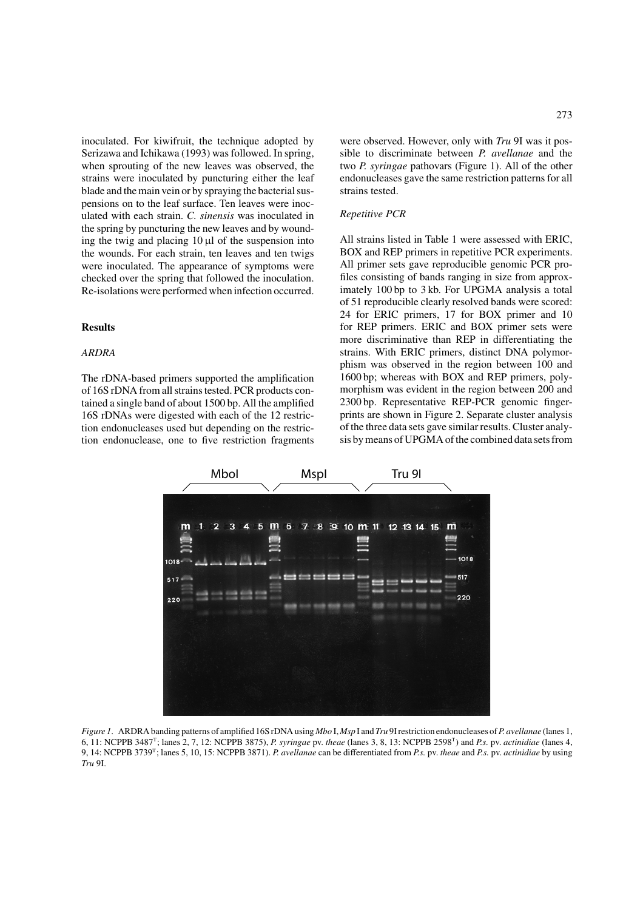inoculated. For kiwifruit, the technique adopted by Serizawa and Ichikawa (1993) was followed. In spring, when sprouting of the new leaves was observed, the strains were inoculated by puncturing either the leaf blade and the main vein or by spraying the bacterial suspensions on to the leaf surface. Ten leaves were inoculated with each strain. *C. sinensis* was inoculated in the spring by puncturing the new leaves and by wounding the twig and placing  $10 \mu l$  of the suspension into the wounds. For each strain, ten leaves and ten twigs were inoculated. The appearance of symptoms were checked over the spring that followed the inoculation. Re-isolations were performed when infection occurred.

#### **Results**

# *ARDRA*

The rDNA-based primers supported the amplification of 16S rDNA from all strains tested. PCR products contained a single band of about 1500 bp. All the amplified 16S rDNAs were digested with each of the 12 restriction endonucleases used but depending on the restriction endonuclease, one to five restriction fragments were observed. However, only with *Tru* 9I was it possible to discriminate between *P. avellanae* and the two *P. syringae* pathovars (Figure 1). All of the other endonucleases gave the same restriction patterns for all strains tested.

### *Repetitive PCR*

All strains listed in Table 1 were assessed with ERIC, BOX and REP primers in repetitive PCR experiments. All primer sets gave reproducible genomic PCR profiles consisting of bands ranging in size from approximately 100 bp to 3 kb. For UPGMA analysis a total of 51 reproducible clearly resolved bands were scored: 24 for ERIC primers, 17 for BOX primer and 10 for REP primers. ERIC and BOX primer sets were more discriminative than REP in differentiating the strains. With ERIC primers, distinct DNA polymorphism was observed in the region between 100 and 1600 bp; whereas with BOX and REP primers, polymorphism was evident in the region between 200 and 2300 bp. Representative REP-PCR genomic fingerprints are shown in Figure 2. Separate cluster analysis of the three data sets gave similar results. Cluster analysis by means of UPGMA of the combined data sets from



*Figure 1*. ARDRA banding patterns of amplified 16S rDNA using *Mbo* I, *Msp* I and *Tru* 9I restriction endonucleases of*P. avellanae* (lanes 1, 6, 11: NCPPB 3487T; lanes 2, 7, 12: NCPPB 3875), *P. syringae* pv. *theae* (lanes 3, 8, 13: NCPPB 2598T) and *P.s.* pv. *actinidiae* (lanes 4, 9, 14: NCPPB 3739T; lanes 5, 10, 15: NCPPB 3871). *P. avellanae* can be differentiated from *P.s.* pv. *theae* and *P.s.* pv. *actinidiae* by using *Tru* 9I.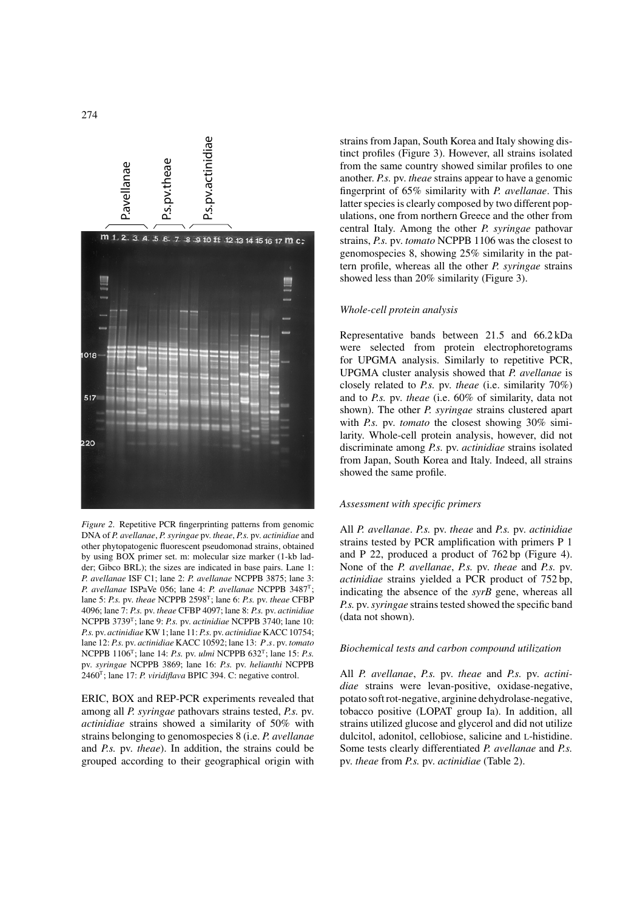

*Figure 2*. Repetitive PCR fingerprinting patterns from genomic DNA of *P. avellanae*, *P. syringae* pv. *theae*, *P.s.* pv. *actinidiae* and other phytopatogenic fluorescent pseudomonad strains, obtained by using BOX primer set. m: molecular size marker (1-kb ladder; Gibco BRL); the sizes are indicated in base pairs. Lane 1: *P. avellanae* ISF C1; lane 2: *P. avellanae* NCPPB 3875; lane 3: *P. avellanae* ISPaVe 056; lane 4: *P. avellanae* NCPPB 3487T; lane 5: *P.s.* pv. *theae* NCPPB 2598T; lane 6: *P.s.* pv. *theae* CFBP 4096; lane 7: *P.s.* pv. *theae* CFBP 4097; lane 8: *P.s.* pv. *actinidiae* NCPPB 3739T; lane 9: *P.s.* pv. *actinidiae* NCPPB 3740; lane 10: *P.s.* pv. *actinidiae* KW 1; lane 11: *P.s.* pv. *actinidiae* KACC 10754; lane 12: *P.s.* pv. *actinidiae* KACC 10592; lane 13: P.s. pv. *tomato* NCPPB 1106T; lane 14: *P.s.* pv. *ulmi* NCPPB 632T; lane 15: *P.s.* pv. *syringae* NCPPB 3869; lane 16: *P.s.* pv. *helianthi* NCPPB 2460T; lane 17: *P. viridiflava* BPIC 394. C: negative control.

ERIC, BOX and REP-PCR experiments revealed that among all *P. syringae* pathovars strains tested, *P.s.* pv. *actinidiae* strains showed a similarity of 50% with strains belonging to genomospecies 8 (i.e. *P. avellanae* and *P.s.* pv. *theae*). In addition, the strains could be grouped according to their geographical origin with strains from Japan, South Korea and Italy showing distinct profiles (Figure 3). However, all strains isolated from the same country showed similar profiles to one another. *P.s.* pv. *theae* strains appear to have a genomic fingerprint of 65% similarity with *P. avellanae*. This latter species is clearly composed by two different populations, one from northern Greece and the other from central Italy. Among the other *P. syringae* pathovar strains, *P.s.* pv. *tomato* NCPPB 1106 was the closest to genomospecies 8, showing 25% similarity in the pattern profile, whereas all the other *P. syringae* strains showed less than 20% similarity (Figure 3).

# *Whole-cell protein analysis*

Representative bands between 21.5 and 66.2 kDa were selected from protein electrophoretograms for UPGMA analysis. Similarly to repetitive PCR, UPGMA cluster analysis showed that *P. avellanae* is closely related to *P.s.* pv. *theae* (i.e. similarity 70%) and to *P.s.* pv. *theae* (i.e. 60% of similarity, data not shown). The other *P. syringae* strains clustered apart with *P.s.* pv. *tomato* the closest showing 30% similarity. Whole-cell protein analysis, however, did not discriminate among *P.s.* pv. *actinidiae* strains isolated from Japan, South Korea and Italy. Indeed, all strains showed the same profile.

# *Assessment with specific primers*

All *P. avellanae*. *P.s.* pv. *theae* and *P.s.* pv. *actinidiae* strains tested by PCR amplification with primers P 1 and P 22, produced a product of 762 bp (Figure 4). None of the *P. avellanae*, *P.s.* pv. *theae* and *P.s.* pv. *actinidiae* strains yielded a PCR product of 752 bp, indicating the absence of the *syrB* gene, whereas all *P.s.* pv.*syringae* strains tested showed the specific band (data not shown).

# *Biochemical tests and carbon compound utilization*

All *P. avellanae*, *P.s.* pv. *theae* and *P.s.* pv. *actinidiae* strains were levan-positive, oxidase-negative, potato soft rot-negative, arginine dehydrolase-negative, tobacco positive (LOPAT group Ia). In addition, all strains utilized glucose and glycerol and did not utilize dulcitol, adonitol, cellobiose, salicine and l-histidine. Some tests clearly differentiated *P. avellanae* and *P.s.* pv. *theae* from *P.s.* pv. *actinidiae* (Table 2).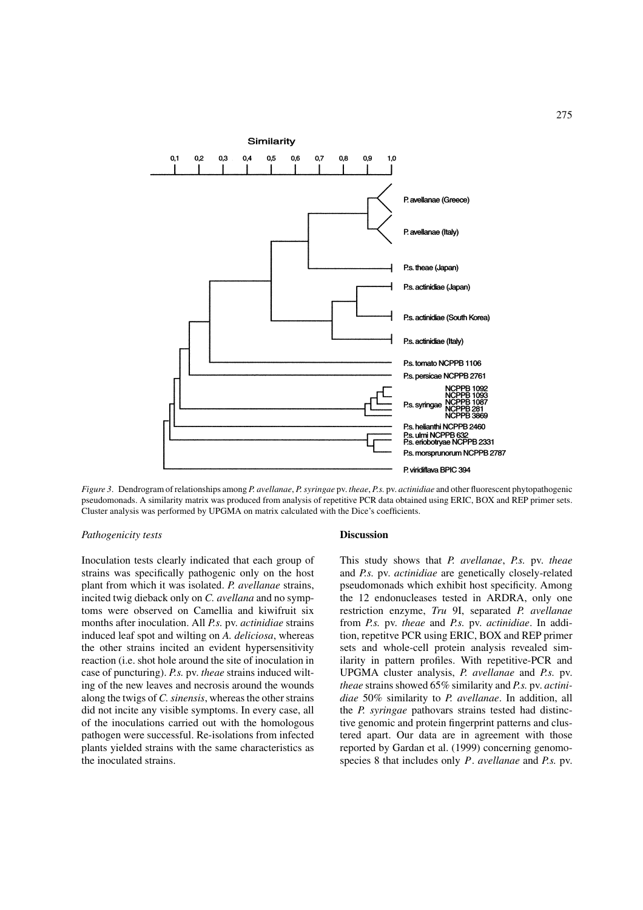

*Figure 3*. Dendrogram of relationships among *P. avellanae*, *P. syringae* pv. *theae*, *P.s.* pv. *actinidiae* and other fluorescent phytopathogenic pseudomonads. A similarity matrix was produced from analysis of repetitive PCR data obtained using ERIC, BOX and REP primer sets. Cluster analysis was performed by UPGMA on matrix calculated with the Dice's coefficients.

#### *Pathogenicity tests*

Inoculation tests clearly indicated that each group of strains was specifically pathogenic only on the host plant from which it was isolated. *P. avellanae* strains, incited twig dieback only on *C. avellana* and no symptoms were observed on Camellia and kiwifruit six months after inoculation. All *P.s.* pv. *actinidiae* strains induced leaf spot and wilting on *A. deliciosa*, whereas the other strains incited an evident hypersensitivity reaction (i.e. shot hole around the site of inoculation in case of puncturing). *P.s.* pv. *theae* strains induced wilting of the new leaves and necrosis around the wounds along the twigs of *C. sinensis*, whereas the other strains did not incite any visible symptoms. In every case, all of the inoculations carried out with the homologous pathogen were successful. Re-isolations from infected plants yielded strains with the same characteristics as the inoculated strains.

### **Discussion**

This study shows that *P. avellanae*, *P.s.* pv. *theae* and *P.s.* pv. *actinidiae* are genetically closely-related pseudomonads which exhibit host specificity. Among the 12 endonucleases tested in ARDRA, only one restriction enzyme, *Tru* 9I, separated *P. avellanae* from *P.s.* pv. *theae* and *P.s.* pv. *actinidiae*. In addition, repetitve PCR using ERIC, BOX and REP primer sets and whole-cell protein analysis revealed similarity in pattern profiles. With repetitive-PCR and UPGMA cluster analysis, *P. avellanae* and *P.s.* pv. *theae* strains showed 65% similarity and *P.s.* pv. *actinidiae* 50% similarity to *P. avellanae*. In addition, all the *P. syringae* pathovars strains tested had distinctive genomic and protein fingerprint patterns and clustered apart. Our data are in agreement with those reported by Gardan et al. (1999) concerning genomospecies 8 that includes only P. *avellanae* and *P.s.* pv.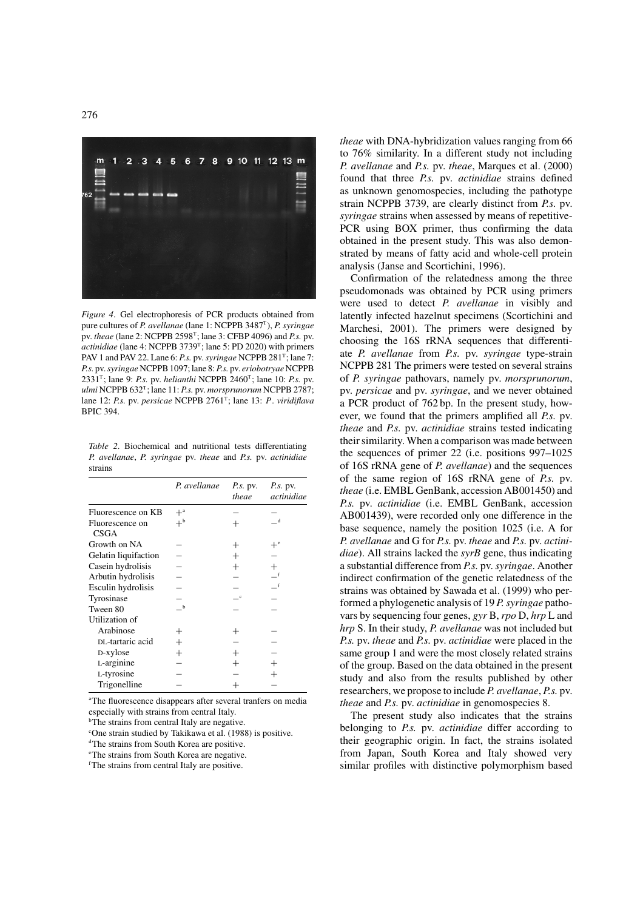

*Figure 4*. Gel electrophoresis of PCR products obtained from pure cultures of *P. avellanae* (lane 1: NCPPB 3487T), *P. syringae* pv. *theae* (lane 2: NCPPB 2598T; lane 3: CFBP 4096) and *P.s.* pv. *actinidiae* (lane 4: NCPPB 3739<sup>T</sup>; lane 5: PD 2020) with primers PAV 1 and PAV 22. Lane 6: *P.s.* pv. *syringae* NCPPB 281<sup>T</sup>; lane 7: *P.s.* pv.*syringae* NCPPB 1097; lane 8:*P.s.* pv. *eriobotryae* NCPPB 2331T; lane 9: *P.s.* pv. *helianthi* NCPPB 2460T; lane 10: *P.s.* pv. *ulmi* NCPPB 632T; lane 11: *P.s.* pv. *morsprunorum* NCPPB 2787; lane 12: *P.s.* pv. *persicae* NCPPB 2761T; lane 13: P. *viridiflava* BPIC 394.

*Table 2*. Biochemical and nutritional tests differentiating *P. avellanae*, *P. syringae* pv. *theae* and *P.s.* pv. *actinidiae* strains

|                                | P. avellanae     | <i>P.s.</i> pv.<br>theae | $P.s.$ pv.<br>actinidiae |
|--------------------------------|------------------|--------------------------|--------------------------|
| Fluorescence on KB             | $+^{\mathrm{a}}$ |                          |                          |
| Fluorescence on<br><b>CSGA</b> | $+^{\rm b}$      | $\pm$                    | d                        |
| Growth on NA                   |                  | $^+$                     | $+^e$                    |
| Gelatin liquifaction           |                  |                          |                          |
| Casein hydrolisis              |                  | $\hspace{0.1mm} +$       |                          |
| Arbutin hydrolisis             |                  |                          | $\mathbf{f}$             |
| Esculin hydrolisis             |                  |                          | f                        |
| Tyrosinase                     |                  |                          |                          |
| Tween 80                       | $\mathbf b$      |                          |                          |
| Utilization of                 |                  |                          |                          |
| Arabinose                      | $^+$             | $^+$                     |                          |
| DL-tartaric acid               | $^{+}$           |                          |                          |
| D-xylose                       | $\pm$            | $^{+}$                   |                          |
| L-arginine                     |                  | $\hspace{0.1mm} +$       |                          |
| L-tyrosine                     |                  |                          |                          |
| Trigonelline                   |                  |                          |                          |

<sup>a</sup>The fluorescence disappears after several tranfers on media especially with strains from central Italy.

<sup>b</sup>The strains from central Italy are negative.

c One strain studied by Takikawa et al. (1988) is positive.

<sup>d</sup>The strains from South Korea are positive.

e The strains from South Korea are negative.

f The strains from central Italy are positive.

*theae* with DNA-hybridization values ranging from 66 to 76% similarity. In a different study not including *P. avellanae* and *P.s.* pv. *theae*, Marques et al. (2000) found that three *P.s.* pv. *actinidiae* strains defined as unknown genomospecies, including the pathotype strain NCPPB 3739, are clearly distinct from *P.s.* pv. *syringae* strains when assessed by means of repetitive-PCR using BOX primer, thus confirming the data obtained in the present study. This was also demonstrated by means of fatty acid and whole-cell protein analysis (Janse and Scortichini, 1996).

Confirmation of the relatedness among the three pseudomonads was obtained by PCR using primers were used to detect *P. avellanae* in visibly and latently infected hazelnut specimens (Scortichini and Marchesi, 2001). The primers were designed by choosing the 16S rRNA sequences that differentiate *P. avellanae* from *P.s.* pv. *syringae* type-strain NCPPB 281 The primers were tested on several strains of *P. syringae* pathovars, namely pv. *morsprunorum*, pv. *persicae* and pv. *syringae*, and we never obtained a PCR product of 762 bp. In the present study, however, we found that the primers amplified all *P.s.* pv. *theae* and *P.s.* pv. *actinidiae* strains tested indicating their similarity. When a comparison was made between the sequences of primer 22 (i.e. positions 997–1025 of 16S rRNA gene of *P. avellanae*) and the sequences of the same region of 16S rRNA gene of *P.s.* pv. *theae* (i.e. EMBL GenBank, accession AB001450) and *P.s.* pv. *actinidiae* (i.e. EMBL GenBank, accession AB001439), were recorded only one difference in the base sequence, namely the position 1025 (i.e. A for *P. avellanae* and G for *P.s.* pv. *theae* and *P.s.* pv. *actinidiae*). All strains lacked the *syrB* gene, thus indicating a substantial difference from *P.s.* pv. *syringae*. Another indirect confirmation of the genetic relatedness of the strains was obtained by Sawada et al. (1999) who performed a phylogenetic analysis of 19 *P. syringae* pathovars by sequencing four genes, *gyr* B, *rpo* D, *hrp* L and *hrp* S. In their study, *P. avellanae* was not included but *P.s.* pv. *theae* and *P.s.* pv. *actinidiae* were placed in the same group 1 and were the most closely related strains of the group. Based on the data obtained in the present study and also from the results published by other researchers, we propose to include *P. avellanae*, *P.s.* pv. *theae* and *P.s.* pv. *actinidiae* in genomospecies 8.

The present study also indicates that the strains belonging to *P.s.* pv. *actinidiae* differ according to their geographic origin. In fact, the strains isolated from Japan, South Korea and Italy showed very similar profiles with distinctive polymorphism based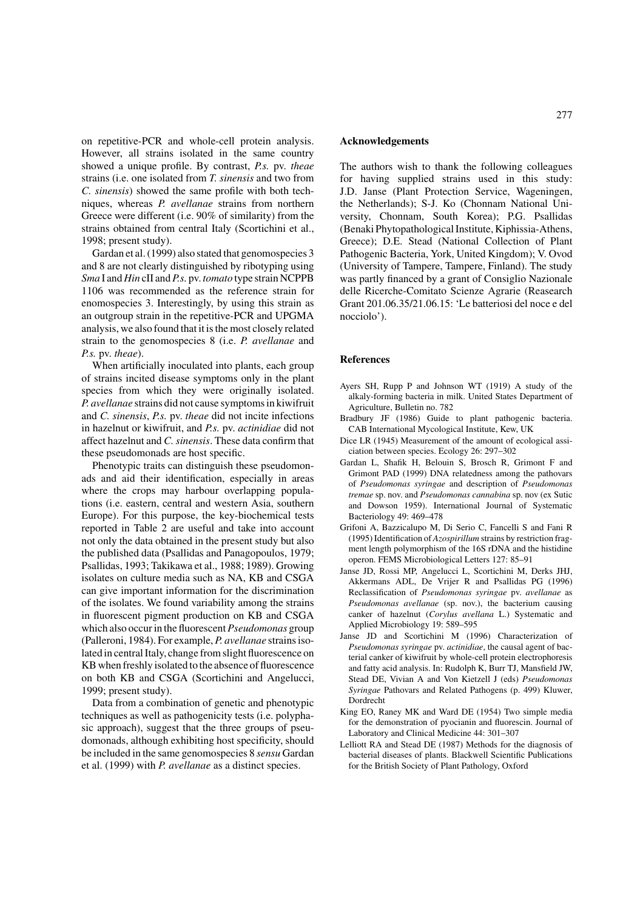on repetitive-PCR and whole-cell protein analysis. However, all strains isolated in the same country showed a unique profile. By contrast, *P.s.* pv. *theae* strains (i.e. one isolated from *T. sinensis* and two from *C. sinensis*) showed the same profile with both techniques, whereas *P. avellanae* strains from northern Greece were different (i.e. 90% of similarity) from the strains obtained from central Italy (Scortichini et al., 1998; present study).

Gardan et al. (1999) also stated that genomospecies 3 and 8 are not clearly distinguished by ribotyping using *Sma* I and *Hin* cII and*P.s.* pv. *tomato* type strain NCPPB 1106 was recommended as the reference strain for enomospecies 3. Interestingly, by using this strain as an outgroup strain in the repetitive-PCR and UPGMA analysis, we also found that it is the most closely related strain to the genomospecies 8 (i.e. *P. avellanae* and *P.s.* pv. *theae*).

When artificially inoculated into plants, each group of strains incited disease symptoms only in the plant species from which they were originally isolated. *P. avellanae* strains did not cause symptoms in kiwifruit and *C. sinensis*, *P.s.* pv. *theae* did not incite infections in hazelnut or kiwifruit, and *P.s.* pv. *actinidiae* did not affect hazelnut and *C. sinensis*. These data confirm that these pseudomonads are host specific.

Phenotypic traits can distinguish these pseudomonads and aid their identification, especially in areas where the crops may harbour overlapping populations (i.e. eastern, central and western Asia, southern Europe). For this purpose, the key-biochemical tests reported in Table 2 are useful and take into account not only the data obtained in the present study but also the published data (Psallidas and Panagopoulos, 1979; Psallidas, 1993; Takikawa et al., 1988; 1989). Growing isolates on culture media such as NA, KB and CSGA can give important information for the discrimination of the isolates. We found variability among the strains in fluorescent pigment production on KB and CSGA which also occur in the fluorescent*Pseudomonas* group (Palleroni, 1984). For example, *P. avellanae* strains isolated in central Italy, change from slight fluorescence on KB when freshly isolated to the absence of fluorescence on both KB and CSGA (Scortichini and Angelucci, 1999; present study).

Data from a combination of genetic and phenotypic techniques as well as pathogenicity tests (i.e. polyphasic approach), suggest that the three groups of pseudomonads, although exhibiting host specificity, should be included in the same genomospecies 8 *sensu* Gardan et al. (1999) with *P. avellanae* as a distinct species.

# **Acknowledgements**

The authors wish to thank the following colleagues for having supplied strains used in this study: J.D. Janse (Plant Protection Service, Wageningen, the Netherlands); S-J. Ko (Chonnam National University, Chonnam, South Korea); P.G. Psallidas (Benaki Phytopathological Institute, Kiphissia-Athens, Greece); D.E. Stead (National Collection of Plant Pathogenic Bacteria, York, United Kingdom); V. Ovod (University of Tampere, Tampere, Finland). The study was partly financed by a grant of Consiglio Nazionale delle Ricerche-Comitato Scienze Agrarie (Reasearch Grant 201.06.35/21.06.15: 'Le batteriosi del noce e del nocciolo').

# **References**

- Ayers SH, Rupp P and Johnson WT (1919) A study of the alkaly-forming bacteria in milk. United States Department of Agriculture, Bulletin no. 782
- Bradbury JF (1986) Guide to plant pathogenic bacteria. CAB International Mycological Institute, Kew, UK
- Dice LR (1945) Measurement of the amount of ecological assiciation between species. Ecology 26: 297–302
- Gardan L, Shafik H, Belouin S, Brosch R, Grimont F and Grimont PAD (1999) DNA relatedness among the pathovars of *Pseudomonas syringae* and description of *Pseudomonas tremae* sp. nov. and *Pseudomonas cannabina* sp. nov (ex Sutic and Dowson 1959). International Journal of Systematic Bacteriology 49: 469–478
- Grifoni A, Bazzicalupo M, Di Serio C, Fancelli S and Fani R (1995) Identification of *Azospirillum* strains by restriction fragment length polymorphism of the 16S rDNA and the histidine operon. FEMS Microbiological Letters 127: 85–91
- Janse JD, Rossi MP, Angelucci L, Scortichini M, Derks JHJ, Akkermans ADL, De Vrijer R and Psallidas PG (1996) Reclassification of *Pseudomonas syringae* pv. *avellanae* as *Pseudomonas avellanae* (sp. nov.), the bacterium causing canker of hazelnut (*Corylus avellana* L.) Systematic and Applied Microbiology 19: 589–595
- Janse JD and Scortichini M (1996) Characterization of *Pseudomonas syringae* pv. *actinidiae*, the causal agent of bacterial canker of kiwifruit by whole-cell protein electrophoresis and fatty acid analysis. In: Rudolph K, Burr TJ, Mansfield JW, Stead DE, Vivian A and Von Kietzell J (eds) *Pseudomonas Syringae* Pathovars and Related Pathogens (p. 499) Kluwer, Dordrecht
- King EO, Raney MK and Ward DE (1954) Two simple media for the demonstration of pyocianin and fluorescin. Journal of Laboratory and Clinical Medicine 44: 301–307
- Lelliott RA and Stead DE (1987) Methods for the diagnosis of bacterial diseases of plants. Blackwell Scientific Publications for the British Society of Plant Pathology, Oxford